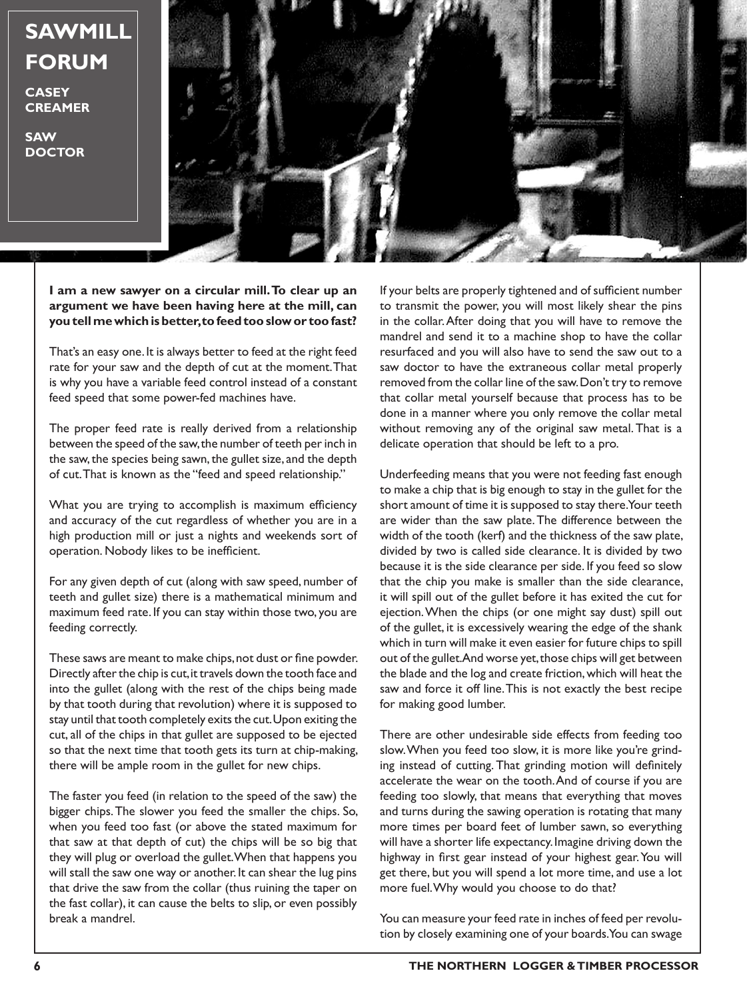## **SAWMILL FORUM**

**CASEY CREAMER**

**SAW DOCTOR**



**I am a new sawyer on a circular mill. To clear up an argument we have been having here at the mill, can you tell me which is better, to feed too slow or too fast?**

That's an easy one. It is always better to feed at the right feed rate for your saw and the depth of cut at the moment. That is why you have a variable feed control instead of a constant feed speed that some power-fed machines have.

The proper feed rate is really derived from a relationship between the speed of the saw, the number of teeth per inch in the saw, the species being sawn, the gullet size, and the depth of cut. That is known as the "feed and speed relationship."

What you are trying to accomplish is maximum efficiency and accuracy of the cut regardless of whether you are in a high production mill or just a nights and weekends sort of operation. Nobody likes to be inefficient.

For any given depth of cut (along with saw speed, number of teeth and gullet size) there is a mathematical minimum and maximum feed rate. If you can stay within those two, you are feeding correctly.

These saws are meant to make chips, not dust or fine powder. Directly after the chip is cut, it travels down the tooth face and into the gullet (along with the rest of the chips being made by that tooth during that revolution) where it is supposed to stay until that tooth completely exits the cut. Upon exiting the cut, all of the chips in that gullet are supposed to be ejected so that the next time that tooth gets its turn at chip-making, there will be ample room in the gullet for new chips.

The faster you feed (in relation to the speed of the saw) the bigger chips. The slower you feed the smaller the chips. So, when you feed too fast (or above the stated maximum for that saw at that depth of cut) the chips will be so big that they will plug or overload the gullet. When that happens you will stall the saw one way or another. It can shear the lug pins that drive the saw from the collar (thus ruining the taper on the fast collar), it can cause the belts to slip, or even possibly break a mandrel.

If your belts are properly tightened and of sufficient number to transmit the power, you will most likely shear the pins in the collar. After doing that you will have to remove the mandrel and send it to a machine shop to have the collar resurfaced and you will also have to send the saw out to a saw doctor to have the extraneous collar metal properly removed from the collar line of the saw. Don't try to remove that collar metal yourself because that process has to be done in a manner where you only remove the collar metal without removing any of the original saw metal. That is a delicate operation that should be left to a pro.

Underfeeding means that you were not feeding fast enough to make a chip that is big enough to stay in the gullet for the short amount of time it is supposed to stay there. Your teeth are wider than the saw plate. The difference between the width of the tooth (kerf) and the thickness of the saw plate, divided by two is called side clearance. It is divided by two because it is the side clearance per side. If you feed so slow that the chip you make is smaller than the side clearance, it will spill out of the gullet before it has exited the cut for ejection. When the chips (or one might say dust) spill out of the gullet, it is excessively wearing the edge of the shank which in turn will make it even easier for future chips to spill out of the gullet. And worse yet, those chips will get between the blade and the log and create friction, which will heat the saw and force it off line. This is not exactly the best recipe for making good lumber.

There are other undesirable side effects from feeding too slow. When you feed too slow, it is more like you're grinding instead of cutting. That grinding motion will definitely accelerate the wear on the tooth. And of course if you are feeding too slowly, that means that everything that moves and turns during the sawing operation is rotating that many more times per board feet of lumber sawn, so everything will have a shorter life expectancy. Imagine driving down the highway in first gear instead of your highest gear. You will get there, but you will spend a lot more time, and use a lot more fuel. Why would you choose to do that?

You can measure your feed rate in inches of feed per revolution by closely examining one of your boards. You can swage